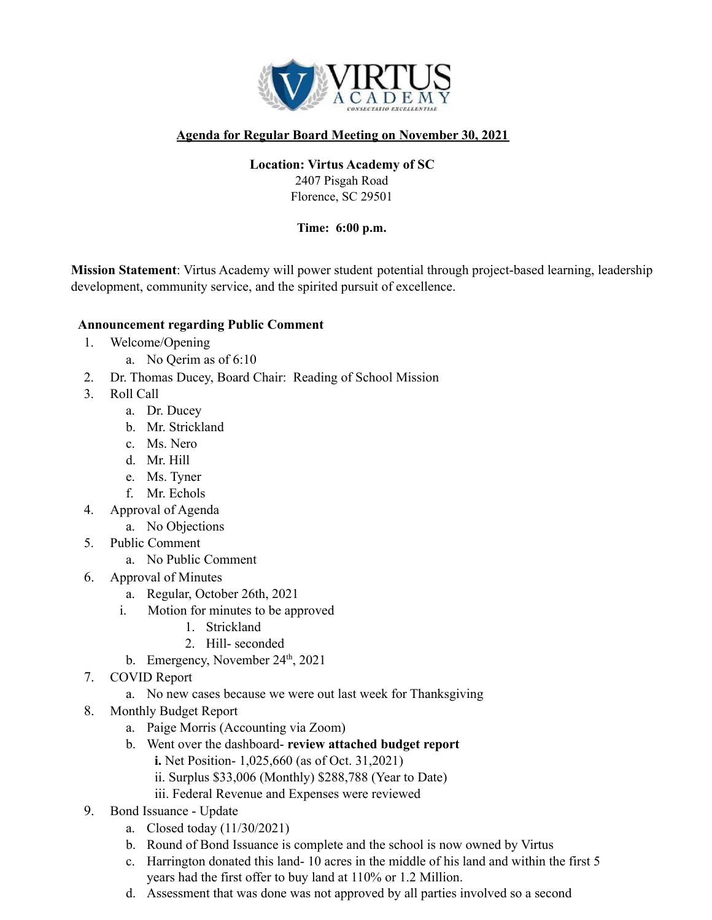

# **Agenda for Regular Board Meeting on November 30, 2021**

# **Location: Virtus Academy of SC**

2407 Pisgah Road Florence, SC 29501

### **Time: 6:00 p.m.**

**Mission Statement**: Virtus Academy will power student potential through project-based learning, leadership development, community service, and the spirited pursuit of excellence.

### **Announcement regarding Public Comment**

- 1. Welcome/Opening
	- a. No Qerim as of 6:10
- 2. Dr. Thomas Ducey, Board Chair: Reading of School Mission
- 3. Roll Call
	- a. Dr. Ducey
	- b. Mr. Strickland
	- c. Ms. Nero
	- d. Mr. Hill
	- e. Ms. Tyner
	- f. Mr. Echols
- 4. Approval of Agenda
	- a. No Objections
- 5. Public Comment
	- a. No Public Comment
- 6. Approval of Minutes
	- a. Regular, October 26th, 2021
	- i. Motion for minutes to be approved
		- 1. Strickland
		- 2. Hill- seconded
		- b. Emergency, November  $24<sup>th</sup>$ , 2021
- 7. COVID Report
	- a. No new cases because we were out last week for Thanksgiving
- 8. Monthly Budget Report
	- a. Paige Morris (Accounting via Zoom)
	- b. Went over the dashboard- **review attached budget report**
		- **i.** Net Position- 1,025,660 (as of Oct. 31,2021)
			- ii. Surplus \$33,006 (Monthly) \$288,788 (Year to Date)
			- iii. Federal Revenue and Expenses were reviewed
- 9. Bond Issuance Update
	- a. Closed today (11/30/2021)
	- b. Round of Bond Issuance is complete and the school is now owned by Virtus
	- c. Harrington donated this land- 10 acres in the middle of his land and within the first 5 years had the first offer to buy land at 110% or 1.2 Million.
	- d. Assessment that was done was not approved by all parties involved so a second